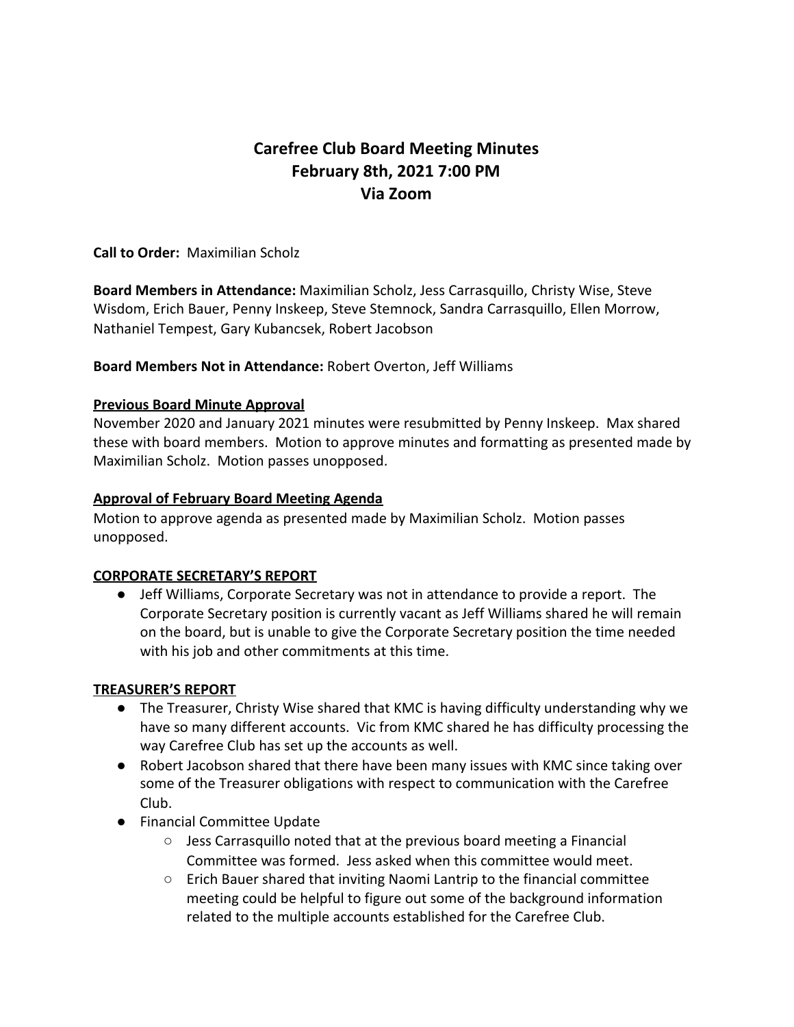# **Carefree Club Board Meeting Minutes February 8th, 2021 7:00 PM Via Zoom**

**Call to Order:** Maximilian Scholz

**Board Members in Attendance:** Maximilian Scholz, Jess Carrasquillo, Christy Wise, Steve Wisdom, Erich Bauer, Penny Inskeep, Steve Stemnock, Sandra Carrasquillo, Ellen Morrow, Nathaniel Tempest, Gary Kubancsek, Robert Jacobson

**Board Members Not in Attendance:** Robert Overton, Jeff Williams

## **Previous Board Minute Approval**

November 2020 and January 2021 minutes were resubmitted by Penny Inskeep. Max shared these with board members. Motion to approve minutes and formatting as presented made by Maximilian Scholz. Motion passes unopposed.

## **Approval of February Board Meeting Agenda**

Motion to approve agenda as presented made by Maximilian Scholz. Motion passes unopposed.

#### **CORPORATE SECRETARY'S REPORT**

● Jeff Williams, Corporate Secretary was not in attendance to provide a report. The Corporate Secretary position is currently vacant as Jeff Williams shared he will remain on the board, but is unable to give the Corporate Secretary position the time needed with his job and other commitments at this time.

#### **TREASURER'S REPORT**

- The Treasurer, Christy Wise shared that KMC is having difficulty understanding why we have so many different accounts. Vic from KMC shared he has difficulty processing the way Carefree Club has set up the accounts as well.
- Robert Jacobson shared that there have been many issues with KMC since taking over some of the Treasurer obligations with respect to communication with the Carefree Club.
- Financial Committee Update
	- Jess Carrasquillo noted that at the previous board meeting a Financial Committee was formed. Jess asked when this committee would meet.
	- Erich Bauer shared that inviting Naomi Lantrip to the financial committee meeting could be helpful to figure out some of the background information related to the multiple accounts established for the Carefree Club.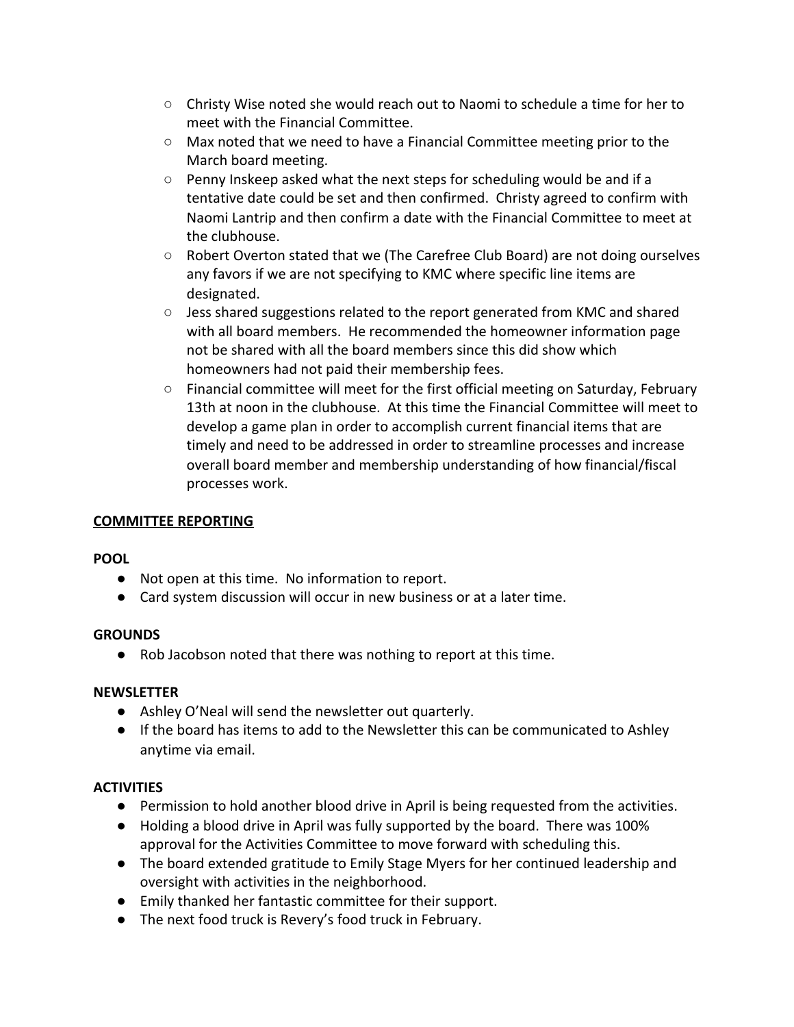- Christy Wise noted she would reach out to Naomi to schedule a time for her to meet with the Financial Committee.
- Max noted that we need to have a Financial Committee meeting prior to the March board meeting.
- $\circ$  Penny Inskeep asked what the next steps for scheduling would be and if a tentative date could be set and then confirmed. Christy agreed to confirm with Naomi Lantrip and then confirm a date with the Financial Committee to meet at the clubhouse.
- Robert Overton stated that we (The Carefree Club Board) are not doing ourselves any favors if we are not specifying to KMC where specific line items are designated.
- Jess shared suggestions related to the report generated from KMC and shared with all board members. He recommended the homeowner information page not be shared with all the board members since this did show which homeowners had not paid their membership fees.
- Financial committee will meet for the first official meeting on Saturday, February 13th at noon in the clubhouse. At this time the Financial Committee will meet to develop a game plan in order to accomplish current financial items that are timely and need to be addressed in order to streamline processes and increase overall board member and membership understanding of how financial/fiscal processes work.

## **COMMITTEE REPORTING**

# **POOL**

- Not open at this time. No information to report.
- Card system discussion will occur in new business or at a later time.

# **GROUNDS**

● Rob Jacobson noted that there was nothing to report at this time.

#### **NEWSLETTER**

- Ashley O'Neal will send the newsletter out quarterly.
- If the board has items to add to the Newsletter this can be communicated to Ashley anytime via email.

# **ACTIVITIES**

- Permission to hold another blood drive in April is being requested from the activities.
- Holding a blood drive in April was fully supported by the board. There was 100% approval for the Activities Committee to move forward with scheduling this.
- The board extended gratitude to Emily Stage Myers for her continued leadership and oversight with activities in the neighborhood.
- Emily thanked her fantastic committee for their support.
- The next food truck is Revery's food truck in February.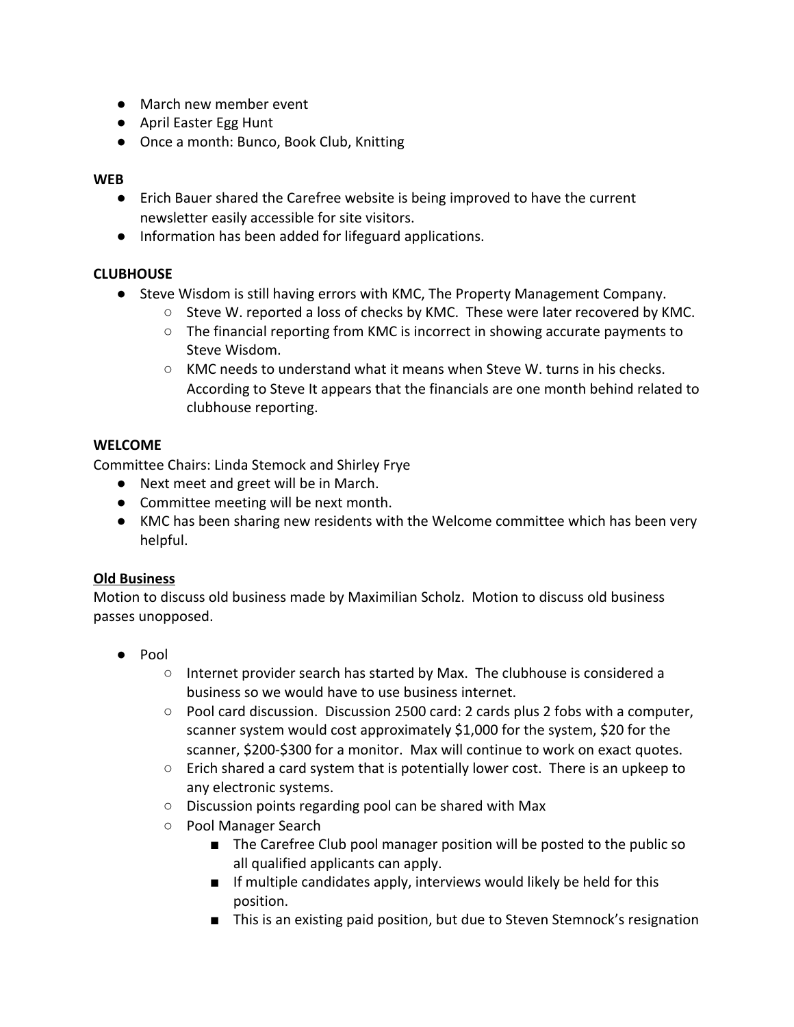- March new member event
- April Easter Egg Hunt
- Once a month: Bunco, Book Club, Knitting

## **WEB**

- Erich Bauer shared the Carefree website is being improved to have the current newsletter easily accessible for site visitors.
- Information has been added for lifeguard applications.

# **CLUBHOUSE**

- Steve Wisdom is still having errors with KMC, The Property Management Company.
	- $\circ$  Steve W. reported a loss of checks by KMC. These were later recovered by KMC.
	- The financial reporting from KMC is incorrect in showing accurate payments to Steve Wisdom.
	- KMC needs to understand what it means when Steve W. turns in his checks. According to Steve It appears that the financials are one month behind related to clubhouse reporting.

# **WELCOME**

Committee Chairs: Linda Stemock and Shirley Frye

- Next meet and greet will be in March.
- Committee meeting will be next month.
- KMC has been sharing new residents with the Welcome committee which has been very helpful.

# **Old Business**

Motion to discuss old business made by Maximilian Scholz. Motion to discuss old business passes unopposed.

- Pool
	- Internet provider search has started by Max. The clubhouse is considered a business so we would have to use business internet.
	- $\circ$  Pool card discussion. Discussion 2500 card: 2 cards plus 2 fobs with a computer, scanner system would cost approximately \$1,000 for the system, \$20 for the scanner, \$200-\$300 for a monitor. Max will continue to work on exact quotes.
	- $\circ$  Erich shared a card system that is potentially lower cost. There is an upkeep to any electronic systems.
	- Discussion points regarding pool can be shared with Max
	- Pool Manager Search
		- The Carefree Club pool manager position will be posted to the public so all qualified applicants can apply.
		- If multiple candidates apply, interviews would likely be held for this position.
		- This is an existing paid position, but due to Steven Stemnock's resignation